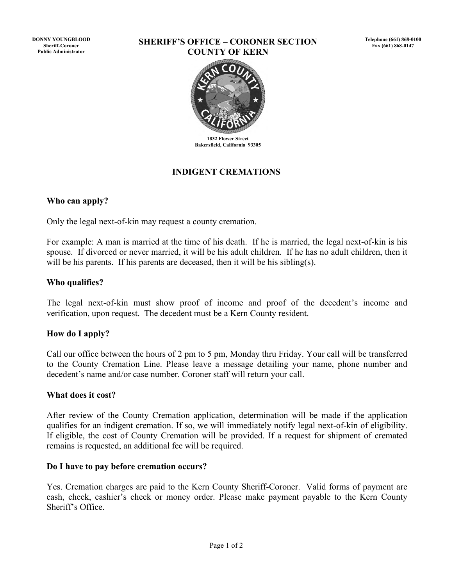**DONNY YOUNGBLOOD Sheriff-Coroner Public Administrator**

#### **SHERIFF'S OFFICE – CORONER SECTION COUNTY OF KERN**



**1832 Flower Street Bakersfield, California 93305**

## **INDIGENT CREMATIONS**

#### **Who can apply?**

Only the legal next-of-kin may request a county cremation.

For example: A man is married at the time of his death. If he is married, the legal next-of-kin is his spouse. If divorced or never married, it will be his adult children. If he has no adult children, then it will be his parents. If his parents are deceased, then it will be his sibling(s).

#### **Who qualifies?**

The legal next-of-kin must show proof of income and proof of the decedent's income and verification, upon request. The decedent must be a Kern County resident.

#### **How do I apply?**

Call our office between the hours of 2 pm to 5 pm, Monday thru Friday. Your call will be transferred to the County Cremation Line. Please leave a message detailing your name, phone number and decedent's name and/or case number. Coroner staff will return your call.

#### **What does it cost?**

After review of the County Cremation application, determination will be made if the application qualifies for an indigent cremation. If so, we will immediately notify legal next-of-kin of eligibility. If eligible, the cost of County Cremation will be provided. If a request for shipment of cremated remains is requested, an additional fee will be required.

#### **Do I have to pay before cremation occurs?**

Yes. Cremation charges are paid to the Kern County Sheriff-Coroner. Valid forms of payment are cash, check, cashier's check or money order. Please make payment payable to the Kern County Sheriff's Office.